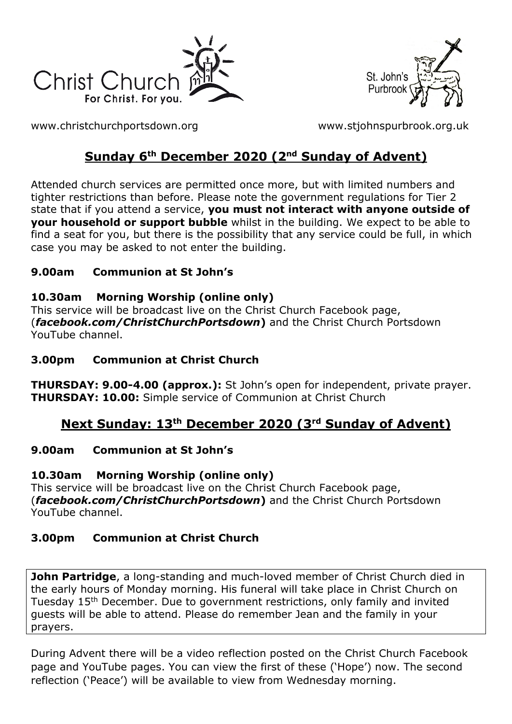



[www.christchurchportsdown.org](http://www.christchurchportsdown.org/) [www.stjohnspurbrook.org.uk](http://www.stjohnspurbrook.org.uk/)

# **Sunday 6<sup>th</sup> December 2020 (2<sup>nd</sup> Sunday of Advent)**

Attended church services are permitted once more, but with limited numbers and tighter restrictions than before. Please note the government regulations for Tier 2 state that if you attend a service, **you must not interact with anyone outside of your household or support bubble** whilst in the building. We expect to be able to find a seat for you, but there is the possibility that any service could be full, in which case you may be asked to not enter the building.

## **9.00am Communion at St John's**

## **10.30am Morning Worship (online only)**

This service will be broadcast live on the Christ Church Facebook page, (*facebook.com/ChristChurchPortsdown***)** and the Christ Church Portsdown YouTube channel.

## **3.00pm Communion at Christ Church**

**THURSDAY: 9.00-4.00 (approx.):** St John's open for independent, private prayer. **THURSDAY: 10.00:** Simple service of Communion at Christ Church

# **Next Sunday: 13th December 2020 (3rd Sunday of Advent)**

## **9.00am Communion at St John's**

**10.30am Morning Worship (online only)**

This service will be broadcast live on the Christ Church Facebook page, (*facebook.com/ChristChurchPortsdown***)** and the Christ Church Portsdown YouTube channel.

# **3.00pm Communion at Christ Church**

**John Partridge**, a long-standing and much-loved member of Christ Church died in the early hours of Monday morning. His funeral will take place in Christ Church on Tuesday 15<sup>th</sup> December. Due to government restrictions, only family and invited guests will be able to attend. Please do remember Jean and the family in your prayers.

During Advent there will be a video reflection posted on the Christ Church Facebook page and YouTube pages. You can view the first of these ('Hope') now. The second reflection ('Peace') will be available to view from Wednesday morning.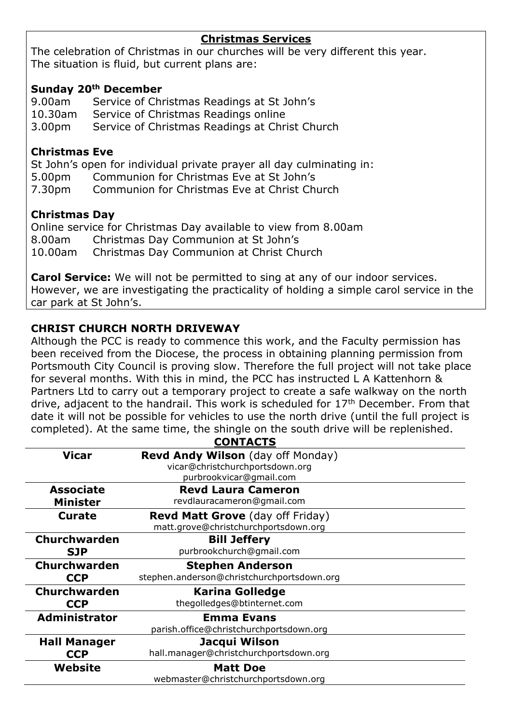#### **Christmas Services**

The celebration of Christmas in our churches will be very different this year. The situation is fluid, but current plans are:

#### **Sunday 20th December**

9.00am Service of Christmas Readings at St John's 10.30am Service of Christmas Readings online 3.00pm Service of Christmas Readings at Christ Church

#### **Christmas Eve**

St John's open for individual private prayer all day culminating in: 5.00pm Communion for Christmas Eve at St John's 7.30pm Communion for Christmas Eve at Christ Church

#### **Christmas Day**

Online service for Christmas Day available to view from 8.00am 8.00am Christmas Day Communion at St John's 10.00am Christmas Day Communion at Christ Church

**Carol Service:** We will not be permitted to sing at any of our indoor services. However, we are investigating the practicality of holding a simple carol service in the car park at St John's.

#### **CHRIST CHURCH NORTH DRIVEWAY**

Although the PCC is ready to commence this work, and the Faculty permission has been received from the Diocese, the process in obtaining planning permission from Portsmouth City Council is proving slow. Therefore the full project will not take place for several months. With this in mind, the PCC has instructed L A Kattenhorn & Partners Ltd to carry out a temporary project to create a safe walkway on the north drive, adjacent to the handrail. This work is scheduled for  $17<sup>th</sup>$  December. From that date it will not be possible for vehicles to use the north drive (until the full project is completed). At the same time, the shingle on the south drive will be replenished. CONTACTS

| <b>CUNTACIS</b>     |                                            |
|---------------------|--------------------------------------------|
| <b>Vicar</b>        | <b>Revd Andy Wilson</b> (day off Monday)   |
|                     | vicar@christchurchportsdown.org            |
|                     | purbrookvicar@gmail.com                    |
| <b>Associate</b>    | <b>Revd Laura Cameron</b>                  |
| <b>Minister</b>     | revdlauracameron@gmail.com                 |
| <b>Curate</b>       | <b>Revd Matt Grove</b> (day off Friday)    |
|                     | matt.grove@christchurchportsdown.org       |
| <b>Churchwarden</b> | <b>Bill Jeffery</b>                        |
| <b>SJP</b>          | purbrookchurch@gmail.com                   |
| <b>Churchwarden</b> | <b>Stephen Anderson</b>                    |
| <b>CCP</b>          | stephen.anderson@christchurchportsdown.org |
| <b>Churchwarden</b> | <b>Karina Golledge</b>                     |
| <b>CCP</b>          | thegolledges@btinternet.com                |
| Administrator       | <b>Emma Evans</b>                          |
|                     | parish.office@christchurchportsdown.org    |
| <b>Hall Manager</b> | Jacqui Wilson                              |
| <b>CCP</b>          | hall.manager@christchurchportsdown.org     |
| Website             | <b>Matt Doe</b>                            |
|                     | webmaster@christchurchportsdown.org        |
|                     |                                            |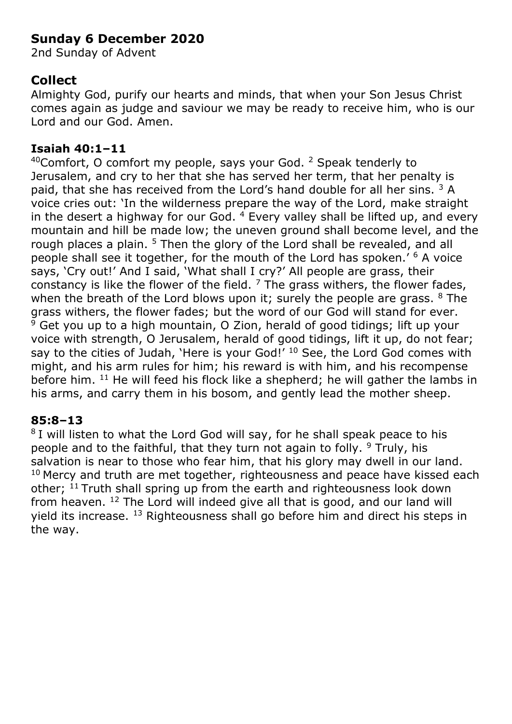# **Sunday 6 December 2020**

2nd Sunday of Advent

# **Collect**

Almighty God, purify our hearts and minds, that when your Son Jesus Christ comes again as judge and saviour we may be ready to receive him, who is our Lord and our God. Amen.

### **Isaiah 40:1–11**

40Comfort, O comfort my people, says your God. <sup>2</sup> Speak tenderly to Jerusalem, and cry to her that she has served her term, that her penalty is paid, that she has received from the Lord's hand double for all her sins. <sup>3</sup> A voice cries out: 'In the wilderness prepare the way of the Lord, make straight in the desert a highway for our God.  $4$  Every valley shall be lifted up, and every mountain and hill be made low; the uneven ground shall become level, and the rough places a plain. <sup>5</sup> Then the glory of the Lord shall be revealed, and all people shall see it together, for the mouth of the Lord has spoken.' <sup>6</sup> A voice says, 'Cry out!' And I said, 'What shall I cry?' All people are grass, their constancy is like the flower of the field.  $<sup>7</sup>$  The grass withers, the flower fades,</sup> when the breath of the Lord blows upon it; surely the people are grass.  $8$  The grass withers, the flower fades; but the word of our God will stand for ever.  $9$  Get you up to a high mountain, O Zion, herald of good tidings; lift up your voice with strength, O Jerusalem, herald of good tidings, lift it up, do not fear; say to the cities of Judah, 'Here is your God!' <sup>10</sup> See, the Lord God comes with might, and his arm rules for him; his reward is with him, and his recompense before him. <sup>11</sup> He will feed his flock like a shepherd; he will gather the lambs in his arms, and carry them in his bosom, and gently lead the mother sheep.

#### **85:8–13**

<sup>8</sup> I will listen to what the Lord God will say, for he shall speak peace to his people and to the faithful, that they turn not again to folly. <sup>9</sup> Truly, his salvation is near to those who fear him, that his glory may dwell in our land.  $10$  Mercy and truth are met together, righteousness and peace have kissed each other; <sup>11</sup> Truth shall spring up from the earth and righteousness look down from heaven. <sup>12</sup> The Lord will indeed give all that is good, and our land will yield its increase. <sup>13</sup> Righteousness shall go before him and direct his steps in the way.